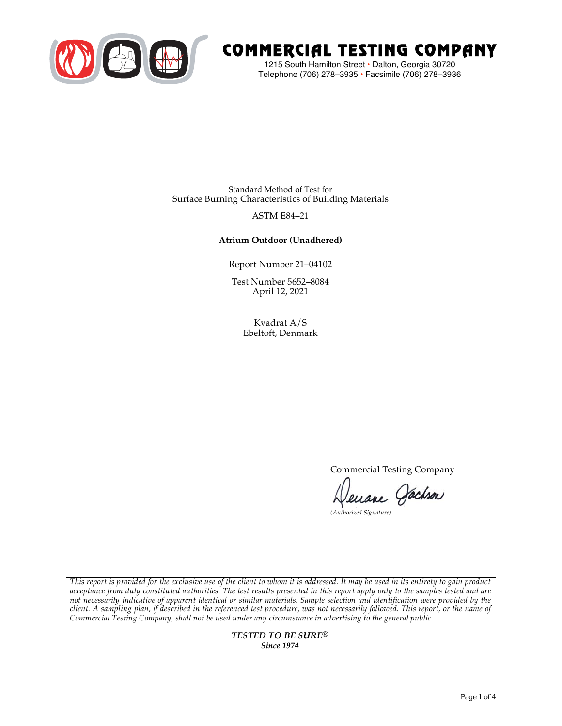

# COMMERCIAL TESTING COMPANY

1215 South Hamilton Street • Dalton, Georgia 30720 Telephone (706) 278–3935 **•** Facsimile (706) 278–3936

Standard Method of Test for Surface Burning Characteristics of Building Materials

## ASTM E84–21

## **Atrium Outdoor (Unadhered)**

Report Number 21–04102

Test Number 5652–8084 April 12, 2021

> Kvadrat A/S Ebeltoft, Denmark

> > Commercial Testing Company

Jenane Pachson

*(Authorized Signature)* 

*This report is provided for the exclusive use of the client to whom it is addressed. It may be used in its entirety to gain product acceptance from duly constituted authorities. The test results presented in this report apply only to the samples tested and are not necessarily indicative of apparent identical or similar materials. Sample selection and identification were provided by the client. A sampling plan, if described in the referenced test procedure, was not necessarily followed. This report, or the name of Commercial Testing Company, shall not be used under any circumstance in advertising to the general public.* 

> *TESTED TO BE SURE® Since 1974*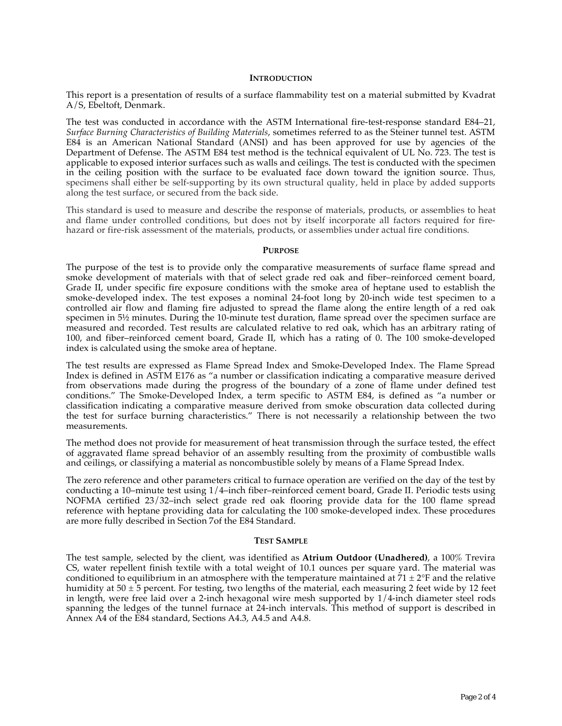#### **INTRODUCTION**

This report is a presentation of results of a surface flammability test on a material submitted by Kvadrat A/S, Ebeltoft, Denmark.

The test was conducted in accordance with the ASTM International fire-test-response standard E84–21, *Surface Burning Characteristics of Building Materials*, sometimes referred to as the Steiner tunnel test. ASTM E84 is an American National Standard (ANSI) and has been approved for use by agencies of the Department of Defense. The ASTM E84 test method is the technical equivalent of UL No. 723. The test is applicable to exposed interior surfaces such as walls and ceilings. The test is conducted with the specimen in the ceiling position with the surface to be evaluated face down toward the ignition source. Thus, specimens shall either be self-supporting by its own structural quality, held in place by added supports along the test surface, or secured from the back side.

This standard is used to measure and describe the response of materials, products, or assemblies to heat and flame under controlled conditions, but does not by itself incorporate all factors required for firehazard or fire-risk assessment of the materials, products, or assemblies under actual fire conditions.

#### **PURPOSE**

The purpose of the test is to provide only the comparative measurements of surface flame spread and smoke development of materials with that of select grade red oak and fiber–reinforced cement board, Grade II, under specific fire exposure conditions with the smoke area of heptane used to establish the smoke-developed index. The test exposes a nominal 24-foot long by 20-inch wide test specimen to a controlled air flow and flaming fire adjusted to spread the flame along the entire length of a red oak specimen in  $5\frac{1}{2}$  minutes. During the 10-minute test duration, flame spread over the specimen surface are measured and recorded. Test results are calculated relative to red oak, which has an arbitrary rating of 100, and fiber–reinforced cement board, Grade II, which has a rating of 0. The 100 smoke-developed index is calculated using the smoke area of heptane.

The test results are expressed as Flame Spread Index and Smoke-Developed Index. The Flame Spread Index is defined in ASTM E176 as "a number or classification indicating a comparative measure derived from observations made during the progress of the boundary of a zone of flame under defined test conditions." The Smoke-Developed Index, a term specific to ASTM E84, is defined as "a number or classification indicating a comparative measure derived from smoke obscuration data collected during the test for surface burning characteristics." There is not necessarily a relationship between the two measurements.

The method does not provide for measurement of heat transmission through the surface tested, the effect of aggravated flame spread behavior of an assembly resulting from the proximity of combustible walls and ceilings, or classifying a material as noncombustible solely by means of a Flame Spread Index.

The zero reference and other parameters critical to furnace operation are verified on the day of the test by conducting a 10–minute test using 1/4–inch fiber–reinforced cement board, Grade II. Periodic tests using NOFMA certified 23/32–inch select grade red oak flooring provide data for the 100 flame spread reference with heptane providing data for calculating the 100 smoke-developed index. These procedures are more fully described in Section 7of the E84 Standard.

#### **TEST SAMPLE**

The test sample, selected by the client, was identified as **Atrium Outdoor (Unadhered)**, a 100% Trevira CS, water repellent finish textile with a total weight of 10.1 ounces per square yard. The material was conditioned to equilibrium in an atmosphere with the temperature maintained at  $71 \pm 2$ °F and the relative humidity at  $50 \pm 5$  percent. For testing, two lengths of the material, each measuring 2 feet wide by 12 feet in length, were free laid over a 2-inch hexagonal wire mesh supported by 1/4-inch diameter steel rods spanning the ledges of the tunnel furnace at 24-inch intervals. This method of support is described in Annex A4 of the E84 standard, Sections A4.3, A4.5 and A4.8.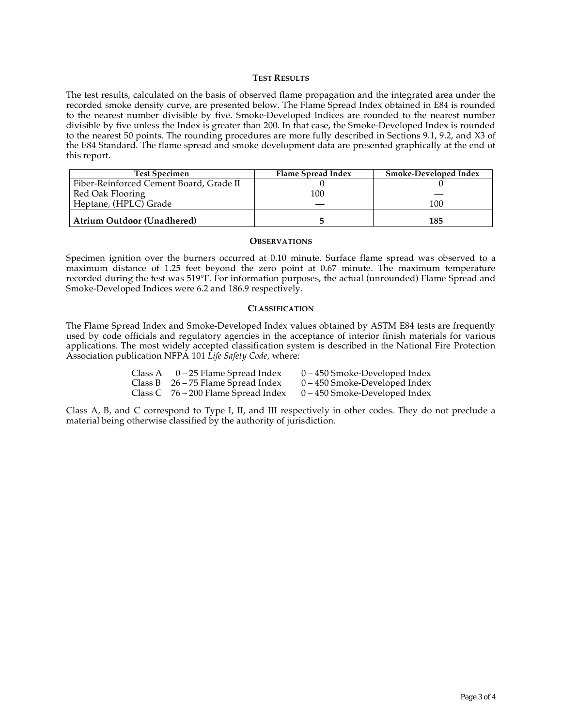#### **TEST RESULTS**

The test results, calculated on the basis of observed flame propagation and the integrated area under the recorded smoke density curve, are presented below. The Flame Spread Index obtained in E84 is rounded to the nearest number divisible by five. Smoke-Developed Indices are rounded to the nearest number divisible by five unless the Index is greater than 200. In that case, the Smoke-Developed Index is rounded to the nearest 50 points. The rounding procedures are more fully described in Sections 9.1, 9.2, and X3 of the E84 Standard. The flame spread and smoke development data are presented graphically at the end of this report.

| <b>Test Specimen</b>                    | Flame Spread Index | Smoke-Developed Index |
|-----------------------------------------|--------------------|-----------------------|
| Fiber-Reinforced Cement Board, Grade II |                    |                       |
| Red Oak Flooring                        | 100                |                       |
| Heptane, (HPLC) Grade                   |                    | 100                   |
| <b>Atrium Outdoor (Unadhered)</b>       |                    | 185                   |

#### **OBSERVATIONS**

Specimen ignition over the burners occurred at 0.10 minute. Surface flame spread was observed to a maximum distance of 1.25 feet beyond the zero point at 0.67 minute. The maximum temperature recorded during the test was 519°F. For information purposes, the actual (unrounded) Flame Spread and Smoke-Developed Indices were 6.2 and 186.9 respectively.

#### **CLASSIFICATION**

The Flame Spread Index and Smoke-Developed Index values obtained by ASTM E84 tests are frequently used by code officials and regulatory agencies in the acceptance of interior finish materials for various applications. The most widely accepted classification system is described in the National Fire Protection Association publication NFPA 101 *Life Safety Code*, where:

| Class A $0-25$ Flame Spread Index     | $0 - 450$ Smoke-Developed Index |
|---------------------------------------|---------------------------------|
| Class B $26 - 75$ Flame Spread Index  | $0 - 450$ Smoke-Developed Index |
| Class C $76 - 200$ Flame Spread Index | $0 - 450$ Smoke-Developed Index |

Class A, B, and C correspond to Type I, II, and III respectively in other codes. They do not preclude a material being otherwise classified by the authority of jurisdiction.